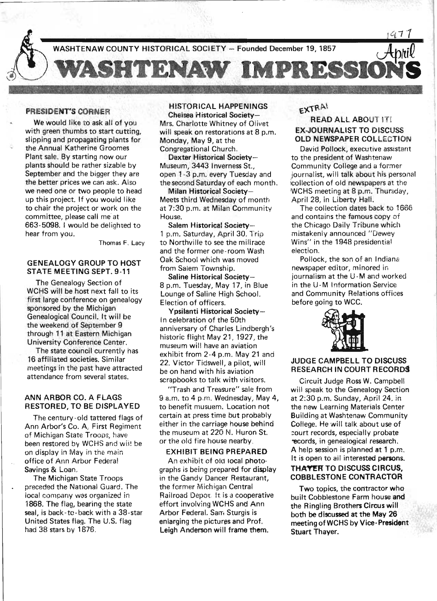

#### PRESIDENT'S CORNER

We would like to ask all of you with green thumbs to start cutting, slipping and propagating plants for the Annual Katherine Groomes Plant sale. By starting now our plants should be rather sizable by September and the bigger they are the better prices we can ask. Also we need one or two people to head up this project. If you would like to chair the project or work on the committee, please call me' at 663- 5098. I would be delighted to hear from you.

Thomas F. Lacy

#### GENEALOGY GROUP TO HOST STATE MEETING SEPT. 9-11

The Genealogy Section of WCHS will be host next fall to its first large conference on genealogy sponsored by the Michigan Genealogical Council. It will be the weekend of September 9 through 11 at Eastern Michigan University Conference Center.

The state council currently has 16 affiliated societies. Similar meetings in the past have attracted attendance from several states.

## ANN ARBOR CO. A FLAGS RESTORED, TO BE DISPLAYED

The century-old tattered flags of Ann Arbor's Co. A, First Regiment of Michigan State Troops, have been restored by WCHS and wii! be on display in May in the main office of Ann Arbor Federal Savings & Loan,

The Michigan State Troops preceded the National Guard. The local company was organized in 1868. The flag, bearing the state seal, is back-ta- back with a 38-star United States flag. The U.S. flag had 38 stars by 1876.

#### HISTORICAL HAPPENINGS Chelsea Historical Society-

Mrs. Charlotte Whitney of Olivet will speak on restorations at 8 p.m. Monday, May 9, at the Congregational Church.

Dexter Historical Society-Museum, 3443 Inverness St., open 1-3 p.m. every Tuesday and the second Saturday of each month.

Milan Historical Society-Meets third Wednesday of month at 7:30 p.m. at Milan Community House.

Salem Historical Society-- 1 p.m. Saturday, April 30. Trip to Northville to see the millrace and the former one-room Wash Oak School which was moved from Salem Township.

Saline Historical Society-8 p.m. Tuesday, May 17, in Blue Lounge of Saline High School. Election of officers.

Ypsilanti Historical Society-In celebration of the 50th anniversary of Charles Lindbergh's historic flight May 21, 1927, the museum will have an aviation exhibit from 2-4 p.m. May 21 and 22. Victor Tidswell, a pilot, will be on hand with his aviation scrapbooks to talk with visitors.

"Trash and Treasure" sale from 9 a.m. to 4 p\_m. Wednesday, May 4, to benefit musuem. Location not certain at press time but probably either in the carriage house behind the museum at 220 N. Huron St. or the old fire house nearby\_

#### EXHIBIT BEING PREPARED

An exhibit of ola local photographs is being prepared for display in the Gandy Dancer Restaurant, the former Michigan Central Railroad Depot. It is a cooperative effort involving WCHS and Ann Arbor Federal. Sam Sturgis is enlarging the pictures and Prof. Leigh Anderson will frame them.

# EXTRA!

# READ ALL ABOUT IT! EX-JOURNALIST TO DISCUSS OLD NEWSPAPER COLLECTION

David Pollock, executive assistant to the president of Washtenaw Community College and a former journalist, will talk about his persona! collection of old newspapers at the 'WCHS meeting at 8 p.m. Thursday, April 28, in Liberty Hall.

The collection dates back to 1666 and contains the famous copy of the Chicago Daily Tribune which mistakenly announced "Dewey Wins" in the 1948 presidential election.

Pollock, the son of an Indiana newspaper editor, minored in journalism at the U-M and worked in the U-M Information Service and Community Relations offices before going to WCC.



# JUDGE CAMPBELL TO DISCUSS RESEARCH IN COURT RECORDS

Circuit Judge Ross W. Campbell will speak to the Genealogy Section at 2:30 p.m. Sunday, April 24, in the new Learning Materials Center Building at Washtenaw Community College. He will talk about use of court records, especially probate 'eCords, in genealogical research. A help session is planned at 1 p.m. It is open to all interested persons.

# THAYER TO DISCUSS CIRCUS, COBBLESTONE CONTRACTOR

Two topics, the contractor who built Cobblestone Farm house and the Ringling Brothers Circus will both be discussed at the May 26 meeting ofWCHS by Vice-President Stuart Thayer.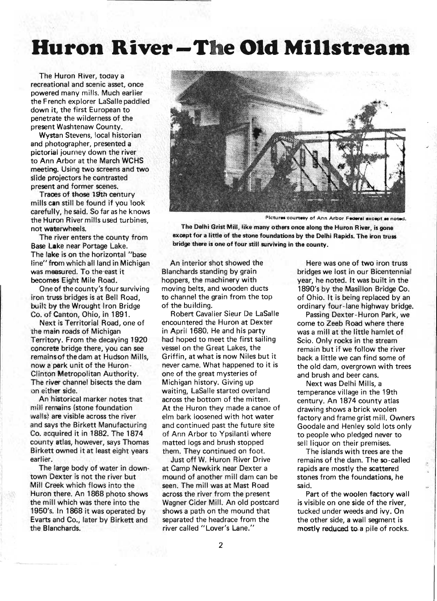# **Huron River-The Old Millstream**

The Huron River, today a recreational and scenic asset, once powered many mills. Much earlier the French explorer LaSalle paddled down it, the first European to penetrate the wilderness of the present Washtenaw County.

Wystan Stevens, local historian and photographer, presented a pictorial journey down the river to Ann Arbor at the March WCHS meeting. Using two screens and two slide projectors he contrasted present and former scenes.

Traces of those 19th century mills can still be found if you look carefully, he said. So far as he knows the Huron River mills used turbines, not waterwheels.

The river enters the county from Base Lake near Portage Lake. The lake is on the horizontal "base line" from which all land in Michigan was measured. To the'east it becomes Eight Mile Road.

One of the county's four surviving iron truss bridges is at Bell Road, built by the Wrought Iron Bridge Co. of Canton, Ohio, in 1891.

Next is Territorial Road, one of the main roads of Michigan Territory. From the decaying 1920 concrete bridge there, you can see remains of the dam at Hudson Mills, now a park unit of the Huron-Clinton Metropolitan Authority. The river channel bisects the dam on either side.

An historical marker notes that mill rernains (stone foundation walls) are visible across the river and says the Birkett Manufacturing Co. acquired it in 1882. The 1874 county atlas, however, says Thomas Birkett owned it at least eight years earlier.

The large body of water in downtown Dexter is not the river but Mill Creek which flows into the Huron there. An 1868 photo shows the mill which was there into the 1950's. In 1868 it was operated by Evarts and Co., later by Birkett and the Blanchards.



Pictures courtesy of Ann Arbor Federal except as noted.

The Delhi Grist Mill, like many others once along the Huron River, is gone except for a little of the stone foundations by the Delhi Rapids. The iron truss bridge there is one of four still surviving in the county.

An interior shot showed the Blanchards standing by grain hoppers, the machinery with moving belts, and wooden ducts to channel the grain from the top of the building.

Robert Cavalier Sieur De LaSalle encountered the Huron at Dexter in April 1680. He and his party had hoped to meet the first sailing vessel on the Great Lakes, the Griffin, at what is now Niles but it never came. What happened to it is one of the great mysteries of Michigan history. Giving up waiting, LaSalle started overland across the bottom of the mitten. At the Huron they made a canoe of elm bark loosened with hot water and continued past the future site of Ann Arbor to Ypsilanti where matted logs and brush stopped them. They continued on foot.

Just off W. Huron River Drive at Camp Newkirk near Dexter a mound of another mill dam can be seen. The mill was at Mast Road across the river from the present Wagner Cider Mill. An old postcard shows a path on the mound that separated the headrace from the river called "Lover's Lane."

Here was one of two iron truss bridges we lost in our Bicentennial year, he noted. It was built in the 1890's by the Masillon Bridge Co. of Ohio. It is being replaced by an ordinary four-lane highway bridge.

Passing Dexter- Huron Park, we come to Zeeb Road where there was a mill at the little hamlet of Scio. Only rocks in the stream remain but if we follow the river back a little we can find some of the old dam, overgrown with trees and brush and beer cans.

Next was Delhi Mills, a temperance village in the 19th century. An 1874 county atlas drawing shows a brick woolen factory and frame grist mill. Owners Goodale and Henley sold lots only to people who pledged never to sell liquor on their premises.

The islands with trees are the remains of the dam. The so-called rapids are mostly the scattered stones from the foundations, he said.

Part of the woolen factory wall is visible on one side of the river, tucked under weeds and ivy. On the other side, a wall segment is mostly reduced to a pile of rocks.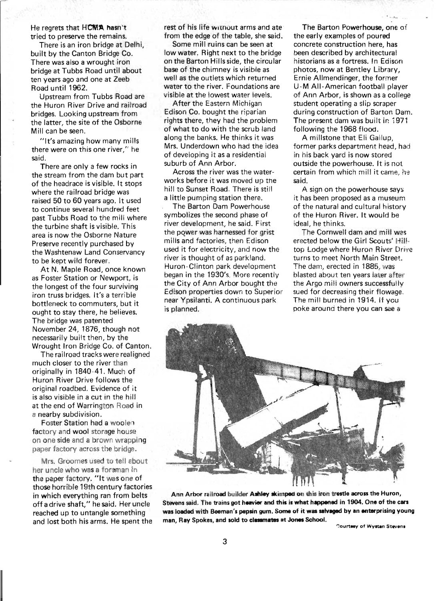#### He regrets that HCMA hasn't tried to preserve the remains.

There is an iron bridge at Delhi, built by the Canton Bridge Co. There was also a wrought iron bridge at Tubbs Road until about ten years ago and one at Zeeb Road until 1962.

Upstream from Tubbs Road are the Huron River Drive and railroad bridges. Looking upstream from the latter, the site of the Osborne Mill can be seen.

"It's amazing how many mills there were on this one river," he said.

There are only a few rocks in the stream from the dam but part of the headrace is visible. It stops where the railroad bridge was raised 50 to 60 years ago. It used to continue several hundred feet past Tubbs Road to the mill where the turbine shaft is visible. This area is now the Osborne Nature Preserve recently purchased by the Washtenaw Land Conservancy to be kept wild forever.

At N. Maple Road, once known as Foster Station or Newport, is the longest of the four surviving iron truss bridges. It's a terrible bottleneck to commuters, but it ought to stay there, he believes. The bridge was patented November 24, 1876, though not necessarily built then, by the Wrought Iron Bridge Co. of Canton.

The railroad tracks were realigned much closer to the river than originally in 1840-41. Much of Huron River Drive follows the original roadbed. Evidence of it is also visible in a cut in the hill at the end of Warrington Road in a nearby subdivision.

Foster Station had a woolen factory and wool storage house on one side and a brown wrapping paper factory across the bridge.

Mrs. Groomes used to tell about her uncle who was a foreman in the paper factory. "It was one of those horrible 19th century factories in which everything ran from belts off a drive shaft," he said. Her uncle reached up to untangle something and lost both his arms. He spent the rest of his life without arms and ate from the edge of the table, she said.

Some mill ruins can be seen at low water. Right next to the bridge on the Barton Hills side, the circular base of the chimney is visible as well as the outlets which returned water to the river. Foundations are visible at the lowest water levels.

After the Eastern Michigan Edison Co. bought the riparian rights there, they had the problem of what to do with the scrub land along the banks. He thinks it was Mrs. Underdown who had the idea of developing it as a residential suburb of Ann Arbor.

Across the river was the waterworks before it was moved up the hill to Sunset Road. There is still a little pumping station there.

The Barton Dam Powerhouse symbolizes the second phase of river development, he said. First the power was harnessed for grist mills and factories, then Edison used it for electricity, and now the river is thought of as parkland. Huron-Clinton park development began in the 1930's. More recently the City of Ann Arbor bought the Edison properties down to Superior near Ypsilanti. A continuous park is planned.

The Barton Powerhouse, one of the early examples of poured concrete construction here, has been described by architectural historians as a fortress. In Edison photos, now at Bentley Library, Ernie Allmendinger, the former U -M AII- American football player of Ann Arbor, is shown as a college student operating a slip scraper during construction of Barton Dam. The present dam was built in 1971 following the 1968 flood.

A millstone that Eli Gallup, former parks department head, had in his back yard is now stored outside the powerhouse. It is not certain from which mill it came, he said.

A sign on the powerhouse says it has been proposed as a museum of the natural and cultural history of the Huron River. It would be ideal, he thinks.

The Cornwell dam and mill was erected below the Girl Scouts' Hilltop Lodge where Huron River Drive turns to meet North Main Street. The dam, erected in 1885, was blasted about ten years later after the Argo mili owners successfully sued for decreasing their flowage. The mill burned in 1914. If you poke around there you can see a



Ann Arbor railroad builder Ashley skimped on this iron trestle across the Huron, Stevens said. The trains got heavier and this is what happened in 1904. One of the cars was loaded with Beeman's pepsin gum. Some of it was salvaged by an enterprising young man, Ray Spokes, and sold to classmates at Jones School.

**Courtesy of Wystan Stevens**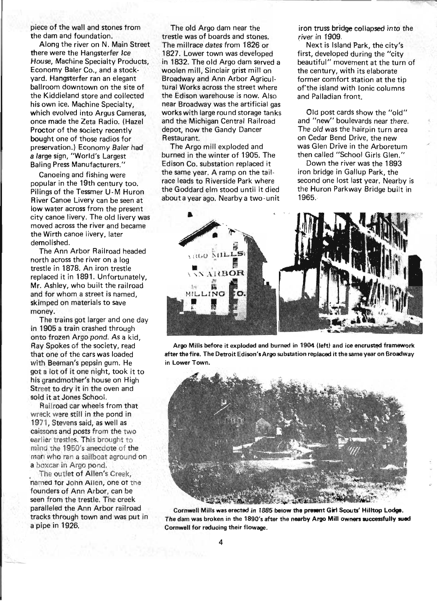piece of the wall and stones from the dam and foundation.

Along the river on N. Main Street there were the Hangsterfer Ice House, Machine Specialty Products, Economy Baler Co., and a stockyard. Hangsterfer ran an elegant ballroom downtown on the site of the Kiddieland store and collected his own ice. Machine Specialty, which evolved into Argus Cameras. once made the Zeta Radio. (Hazel Proctor of the society recently bought one of those radios for preservation.) Economy Baler had a large sign, "World's Largest Baling Press Manufacturers."

Canoeing and fishing were popular in the 19th century too. Pilings of the Tessmer U-M Huron River Canoe Livery can be seen at low water across from the present city canoe livery. The old livery was moved across the river and became the Wirth canoe livery, later demolished.

The Ann Arbor Railroad headed north across the river on a log trestle in 1878. An iron trestle replaced it in 1891. Unfortunately, Mr. Ashley, who built the railroad and for whom a street is named, skimped on materials to save money.

The trains got larger and one day in 1905 a train crashed through onto frozen Argo pond. As a kid, Ray Spokes of the society, read that one of the cars was loaded with Beeman's pepsin gum. He got a lot of it one night, took it to his grandmother's house on High Street to dry it in the oven and sold it at Jones School.

Railroad car wheels from that wreck were still in the pond in 1971, Stevens said, as well as caissons and posts from the two earlier trestles. This brought to mind the 1950's anecdote of the man who ran a sailboat aground on a boxcar in Argo pond.

The outlet of Allen's Creek, named tor John Allen, one ot the founders of Ann Arbor, can be seen from the trestle. The creek paralleled the Ann Arbor railroad tracks through town and was put in a pipe in 1926.

The old Argo dam near the trestle was of boards and stones. The millrace dates from 1826 or 1827. Lower town was developed in 1832. The old Argo dam served a woolen mill, Sinclair grist mill on Broadway and Ann Arbor Agricultural Works across the street where the Edison warehouse is now. Also near Broadway was the artificial gas works with large round storage tanks and the Michigan Central Railroad depot, now the Gandy Dancer Restaurant.

The Argo mill exploded and burned in the winter of 1905. The Edison Co. substation replaced it the same year. A ramp on the tailrace leads to Riverside Park where the Goddard elm stood until it died about a year ago. Nearby a two-unit iron truss bridge collapsed into the river in 1909.

. Next is Island Park, the city's first, developed during the "city beautiful" movement at the turn of the century, with its elaborate former comfort station at the tip of the island with Ionic columns and Palladian front.

Old post cards show the "old" and "new" boulevards near there. The old was the hairpin turn area on Cedar Bend Drive, the new was Glen Drive in the Arboretum then called "School Girls Glen."

Down the river was the 1893 iron bridge in Gallup Park, the second one lost last year. Nearby is the Huron Parkway Bridge built in 1965.

![](_page_3_Picture_13.jpeg)

Argo Mills before it exploded and burned in 1904 (left) and ice encrusted framework after the fire. The Detroit Edison's Argo substation replaced it the same year on Broadway in Lower Town.

![](_page_3_Picture_15.jpeg)

Cornwell Mills was erected in 1885 below the present Girl Scouts' Hilltop Lodge. The dam was broken in the 1890's after the nearby Argo Mill owners successfully sued Cornwell for reducing their flowage.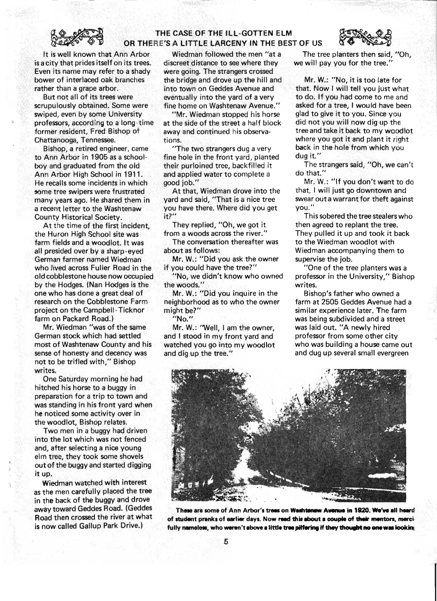![](_page_4_Picture_0.jpeg)

# THE CASE OF THE ILL·GOTTEN ELM OR THERE'S A LITTLE LARCENY IN THE BEST OF US

<sup>r</sup>---- ---~

It is well known that,Ann Arbor is a city that prides itself on its trees. Even its name may refer to a shady bower of interlaced oak branches rather than a grape arbor.

But not all of its trees were scrupulously obtained. Some were swiped, even by some University professors, according to a long-time former resident, Fred Bishop of Chattanooga, Tennessee.

Bishop, a retired engineer, came to Ann Arbor in 1905 as a schoolboy and graduated from the old Ann Arbor High School in 1911. He recalls some incidents in which some tree swipers were frustrated many years ago. He shared them in a recent letter to the Washtenaw County Historical Society.

At the time of the first incident, the Huron High School site was farm fields and a woodlot. It was all presided over by a sharp-eyed German farmer named Wiedman who lived across Fuller Road in the old cobblestone house now occupied by the Hodges. (Nan Hodges is the one who has done a great deal of research on the Cobblestone Farm project on the Campbell-Ticknor farm on Packard Road.)

Mr. Wiedman "was of the same German stock which had settled most of Washtenaw County and his sense of honesty and decency was not to be trifled with," Bishop writes.

One Saturday morning he had hitched his horse to a buggy in preparation for a trip to town and was standing in his front yard when he noticed some activity over in the woodlot, Bishop relates.

Two men in a buggy had driven into the lot which was not fenced and, after selecting a nice young elm tree, they took some shovels out of the buggy and started digging it up.

Wiedman watched with interest as the men carefully placed the tree in the back of the buggy and drove away toward Geddes Road. (Geddes Road then crossed the river at what is now called Gallup Park Drive.)

Wiedman followed the men "at a discreet distance to see where they were going. The strangers crossed the bridge and drove up the hill and into town on Geddes Avenue and eventually into the yard of a very fine home on Washtenaw Avenue."

"Mr. Wiedman stopped his horse at the side of the street a half block away and continued his observations.

"The two strangers dug a very fine hole in the front yard, planted their purloined tree, backfilled it and applied water to complete a good job."

At that, Wiedman drove into the yard and said, "That is a nice tree you have there. Where did you get it?"

They replied, "Oh, we got it from a woods across the river."

The conversation thereafter was about as follows:

Mr. W.: "Did you ask the owner if you could have the tree?"

"No, we didn't know who owned the woods. "

Mr. W.: "Did you inquire in the neighborhood as to who the owner might be?"

"No."

Mr. W.: ''Well, I am the owner, and I stood in my front yard and watched you go into my woodlot and dig up the tree."

The tree planters then said, "Oh, we will pay you for the tree."

Mr. W.: "No, it is too late for that. Now I will tell you just what to do. If you had come to me and asked for a tree, I would have been glad to give it to you. Since you did not you will now dig up the tree and take it back to my woodlot where you got it and plant it right back in the hole from which you dug it."

The strangers said, "Oh, we can't do that.'

Mr. W.: "If you don't want to do that, I will just go downtown and swear out a warrant for theft against you."

This sobered the tree stealers who then agreed to replant the tree. They pulled it up and took it back to the Wiedman woodlot with Wiedman accompanying them to supervise the job.

"One of the tree planters was a professor in the University," Bishop writes.

Bishop's father who owned a farm at 2505 Geddes Avenue had a similar experience later. The farm was being subdivided and a street was laid out. "A newly hired professor from some other city who was building a house came out and dug up several small evergreen

![](_page_4_Picture_29.jpeg)

These are some of Ann Arbor's trees on Washtenaw Avenue in 1920. We've all heard of student pranks of earlier days. Now read this about a couple of their mentors, mercifully nameless, who weren't above a little tree pilfering if they thought no one was looking